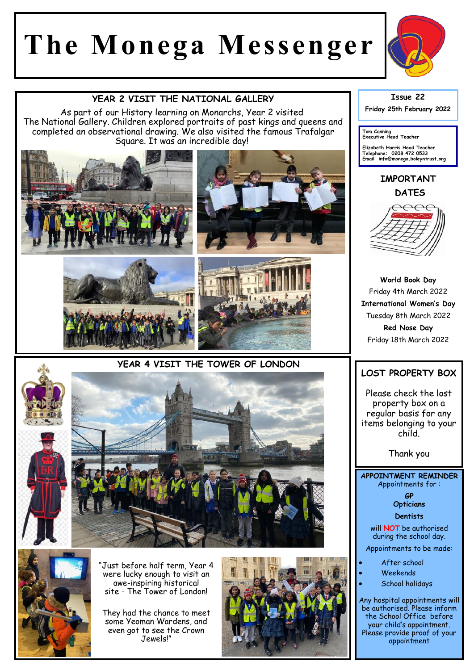# **The Monega Messenger**



#### **YEAR 2 VISIT THE NATIONAL GALLERY**

As part of our History learning on Monarchs, Year 2 visited The National Gallery. Children explored portraits of past kings and queens and completed an observational drawing. We also visited the famous Trafalgar Square. It was an incredible day!











Just before half term, Year 4 were lucky enough to visit an awe-inspiring historical site - The Tower of London!

They had the chance to meet some Yeoman Wardens, and even got to see the Crown Jewels!"



## **Issue 22**

**Friday 25th February 2022** 

**Tom Canning Executive Head Teacher**

**Elizabeth Harris Head Teacher Telephone: 0208 472 0533 Email info@monega.boleyntrust.org** 

## **IMPORTANT DATES**



**World Book Day**  Friday 4th March 2022 **International Women's Day** Tuesday 8th March 2022 **Red Nose Day**  Friday 18th March 2022

## **LOST PROPERTY BOX**

Please check the lost property box on a regular basis for any items belonging to your child.

Thank you

**APPOINTMENT REMINDER** Appointments for :

> **GP Opticians**

**Dentists** 

will **NOT** be authorised during the school day.

Appointments to be made:

- After school
- Weekends
- School holidays

Any hospital appointments will be authorised. Please inform the School Office before your child's appointment. Please provide proof of your appointment